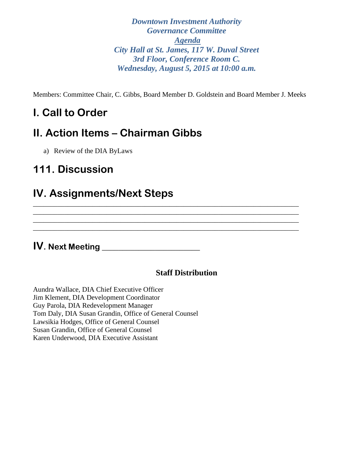*Downtown Investment Authority Governance Committee Agenda City Hall at St. James, 117 W. Duval Street 3rd Floor, Conference Room C. Wednesday, August 5, 2015 at 10:00 a.m.* 

Members: Committee Chair, C. Gibbs, Board Member D. Goldstein and Board Member J. Meeks

\_\_\_\_\_\_\_\_\_\_\_\_\_\_\_\_\_\_\_\_\_\_\_\_\_\_\_\_\_\_\_\_\_\_\_\_\_\_\_\_\_\_\_\_\_\_\_\_\_\_\_\_\_\_\_\_\_\_\_\_\_\_\_\_\_\_\_\_\_\_\_\_\_\_\_\_ \_\_\_\_\_\_\_\_\_\_\_\_\_\_\_\_\_\_\_\_\_\_\_\_\_\_\_\_\_\_\_\_\_\_\_\_\_\_\_\_\_\_\_\_\_\_\_\_\_\_\_\_\_\_\_\_\_\_\_\_\_\_\_\_\_\_\_\_\_\_\_\_\_\_\_\_ \_\_\_\_\_\_\_\_\_\_\_\_\_\_\_\_\_\_\_\_\_\_\_\_\_\_\_\_\_\_\_\_\_\_\_\_\_\_\_\_\_\_\_\_\_\_\_\_\_\_\_\_\_\_\_\_\_\_\_\_\_\_\_\_\_\_\_\_\_\_\_\_\_\_\_\_ \_\_\_\_\_\_\_\_\_\_\_\_\_\_\_\_\_\_\_\_\_\_\_\_\_\_\_\_\_\_\_\_\_\_\_\_\_\_\_\_\_\_\_\_\_\_\_\_\_\_\_\_\_\_\_\_\_\_\_\_\_\_\_\_\_\_\_\_\_\_\_\_\_\_\_\_

# **I. Call to Order**

# **II. Action Items – Chairman Gibbs**

a) Review of the DIA ByLaws

## **111. Discussion**

### **IV. Assignments/Next Steps**

**IV. Next Meeting \_\_\_\_\_\_\_\_\_\_\_\_\_\_\_\_\_\_\_\_\_\_\_\_**

### **Staff Distribution**

Aundra Wallace, DIA Chief Executive Officer Jim Klement, DIA Development Coordinator Guy Parola, DIA Redevelopment Manager Tom Daly, DIA Susan Grandin, Office of General Counsel Lawsikia Hodges, Office of General Counsel Susan Grandin, Office of General Counsel Karen Underwood, DIA Executive Assistant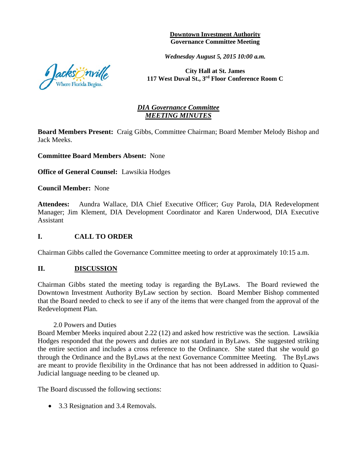**Downtown Investment Authority Governance Committee Meeting** 

*Wednesday August 5, 2015 10:00 a.m.*

**City Hall at St. James 117 West Duval St., 3rd Floor Conference Room C**

#### *DIA Governance Committee MEETING MINUTES*

**Board Members Present:** Craig Gibbs, Committee Chairman; Board Member Melody Bishop and Jack Meeks.

**Committee Board Members Absent:** None

**Office of General Counsel:** Lawsikia Hodges

**Council Member:** None

**Attendees:** Aundra Wallace, DIA Chief Executive Officer; Guy Parola, DIA Redevelopment Manager; Jim Klement, DIA Development Coordinator and Karen Underwood, DIA Executive Assistant

#### **I. CALL TO ORDER**

Chairman Gibbs called the Governance Committee meeting to order at approximately 10:15 a.m.

#### **II. DISCUSSION**

Chairman Gibbs stated the meeting today is regarding the ByLaws. The Board reviewed the Downtown Investment Authority ByLaw section by section. Board Member Bishop commented that the Board needed to check to see if any of the items that were changed from the approval of the Redevelopment Plan.

#### 2.0 Powers and Duties

Board Member Meeks inquired about 2.22 (12) and asked how restrictive was the section. Lawsikia Hodges responded that the powers and duties are not standard in ByLaws. She suggested striking the entire section and includes a cross reference to the Ordinance. She stated that she would go through the Ordinance and the ByLaws at the next Governance Committee Meeting. The ByLaws are meant to provide flexibility in the Ordinance that has not been addressed in addition to Quasi-Judicial language needing to be cleaned up.

The Board discussed the following sections:

• 3.3 Resignation and 3.4 Removals.

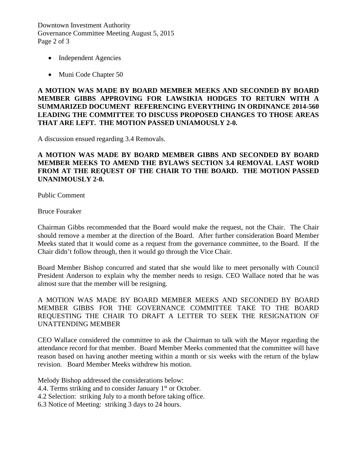Downtown Investment Authority Governance Committee Meeting August 5, 2015 Page 2 of 3

- Independent Agencies
- Muni Code Chapter 50

**A MOTION WAS MADE BY BOARD MEMBER MEEKS AND SECONDED BY BOARD MEMBER GIBBS APPROVING FOR LAWSIKIA HODGES TO RETURN WITH A SUMMARIZED DOCUMENT REFERENCING EVERYTHING IN ORDINANCE 2014-560 LEADING THE COMMITTEE TO DISCUSS PROPOSED CHANGES TO THOSE AREAS THAT ARE LEFT. THE MOTION PASSED UNIAMOUSLY 2-0.** 

A discussion ensued regarding 3.4 Removals.

#### **A MOTION WAS MADE BY BOARD MEMBER GIBBS AND SECONDED BY BOARD MEMBER MEEKS TO AMEND THE BYLAWS SECTION 3.4 REMOVAL LAST WORD FROM AT THE REQUEST OF THE CHAIR TO THE BOARD. THE MOTION PASSED UNANIMOUSLY 2-0.**

Public Comment

Bruce Fouraker

Chairman Gibbs recommended that the Board would make the request, not the Chair. The Chair should remove a member at the direction of the Board. After further consideration Board Member Meeks stated that it would come as a request from the governance committee, to the Board. If the Chair didn't follow through, then it would go through the Vice Chair.

Board Member Bishop concurred and stated that she would like to meet personally with Council President Anderson to explain why the member needs to resign. CEO Wallace noted that he was almost sure that the member will be resigning.

A MOTION WAS MADE BY BOARD MEMBER MEEKS AND SECONDED BY BOARD MEMBER GIBBS FOR THE GOVERNANCE COMMITTEE TAKE TO THE BOARD REQUESTING THE CHAIR TO DRAFT A LETTER TO SEEK THE RESIGNATION OF UNATTENDING MEMBER

CEO Wallace considered the committee to ask the Chairman to talk with the Mayor regarding the attendance record for that member. Board Member Meeks commented that the committee will have reason based on having another meeting within a month or six weeks with the return of the bylaw revision. Board Member Meeks withdrew his motion.

Melody Bishop addressed the considerations below:

- 4.4. Terms striking and to consider January  $1<sup>st</sup>$  or October.
- 4.2 Selection: striking July to a month before taking office.
- 6.3 Notice of Meeting: striking 3 days to 24 hours.